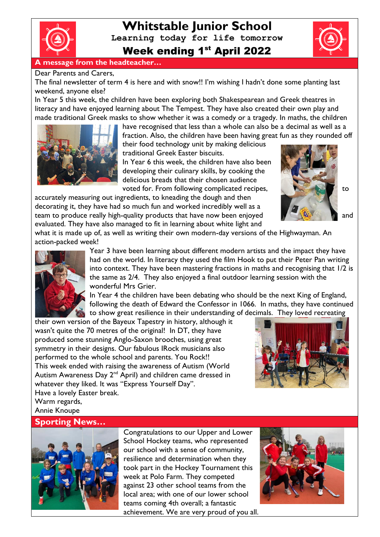

# **Whitstable Junior School Learning today for life tomorrow** Week ending 1<sup>st</sup> April 2022

#### **A message from the headteacher…**

#### Dear Parents and Carers,

The final newsletter of term 4 is here and with snow!! I'm wishing I hadn't done some planting last weekend, anyone else?

In Year 5 this week, the children have been exploring both Shakespearean and Greek theatres in literacy and have enjoyed learning about The Tempest. They have also created their own play and made traditional Greek masks to show whether it was a comedy or a tragedy. In maths, the children



have recognised that less than a whole can also be a decimal as well as a fraction. Also, the children have been having great fun as they rounded off their food technology unit by making delicious traditional Greek Easter biscuits.

In Year 6 this week, the children have also been developing their culinary skills, by cooking the delicious breads that their chosen audience voted for. From following complicated recipes, the state of the to

accurately measuring out ingredients, to kneading the dough and then decorating it, they have had so much fun and worked incredibly well as a team to produce really high-quality products that have now been enjoyed **the state of the state of the state of the state of the state of the state of the state of the state of the state of the state of the state of the st** evaluated. They have also managed to fit in learning about white light and

what it is made up of, as well as writing their own modern-day versions of the Highwayman. An action-packed week!



Year 3 have been learning about different modern artists and the impact they have had on the world. In literacy they used the film Hook to put their Peter Pan writing into context. They have been mastering fractions in maths and recognising that 1/2 is the same as 2/4. They also enjoyed a final outdoor learning session with the wonderful Mrs Grier.

In Year 4 the children have been debating who should be the next King of England, following the death of Edward the Confessor in 1066. In maths, they have continued to show great resilience in their understanding of decimals. They loved recreating

their own version of the Bayeux Tapestry in history, although it wasn't quite the 70 metres of the original! In DT, they have produced some stunning Anglo-Saxon brooches, using great symmetry in their designs. Our fabulous IRock musicians also performed to the whole school and parents. You Rock!! This week ended with raising the awareness of Autism (World Autism Awareness Day 2<sup>nd</sup> April) and children came dressed in whatever they liked. It was "Express Yourself Day".

Have a lovely Easter break. Warm regards, Annie Knoupe

#### **Sporting News…**



Congratulations to our Upper and Lower School Hockey teams, who represented our school with a sense of community, resilience and determination when they took part in the Hockey Tournament this week at Polo Farm. They competed against 23 other school teams from the local area; with one of our lower school teams coming 4th overall; a fantastic achievement. We are very proud of you all.



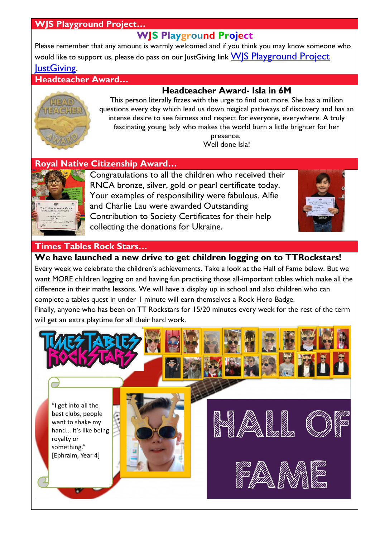### **WJS Playground Project…**

## **WJS Playground Project**

Please remember that any amount is warmly welcomed and if you think you may know someone who would like to support us, please do pass on our lustGiving link WIS Playground Project [JustGiving.](https://www.justgiving.com/crowdfunding/wjsplaygroundproject?utm_term=Egn8J7jwd)

**Headteacher Award…**

### **Headteacher Award- Isla in 6M**



This person literally fizzes with the urge to find out more. She has a million questions every day which lead us down magical pathways of discovery and has an intense desire to see fairness and respect for everyone, everywhere. A truly fascinating young lady who makes the world burn a little brighter for her presence. Well done Isla!

### **Royal Native Citizenship Award…**



Congratulations to all the children who received their RNCA bronze, silver, gold or pearl certificate today. Your examples of responsibility were fabulous. Alfie and Charlie Lau were awarded Outstanding Contribution to Society Certificates for their help collecting the donations for Ukraine.



### **Times Tables Rock Stars…**

**We have launched a new drive to get children logging on to TTRockstars!** 

Every week we celebrate the children's achievements. Take a look at the Hall of Fame below. But we want MORE children logging on and having fun practising those all-important tables which make all the difference in their maths lessons. We will have a display up in school and also children who can complete a tables quest in under 1 minute will earn themselves a Rock Hero Badge.

Finally, anyone who has been on TT Rockstars for 15/20 minutes every week for the rest of the term will get an extra playtime for all their hard work.